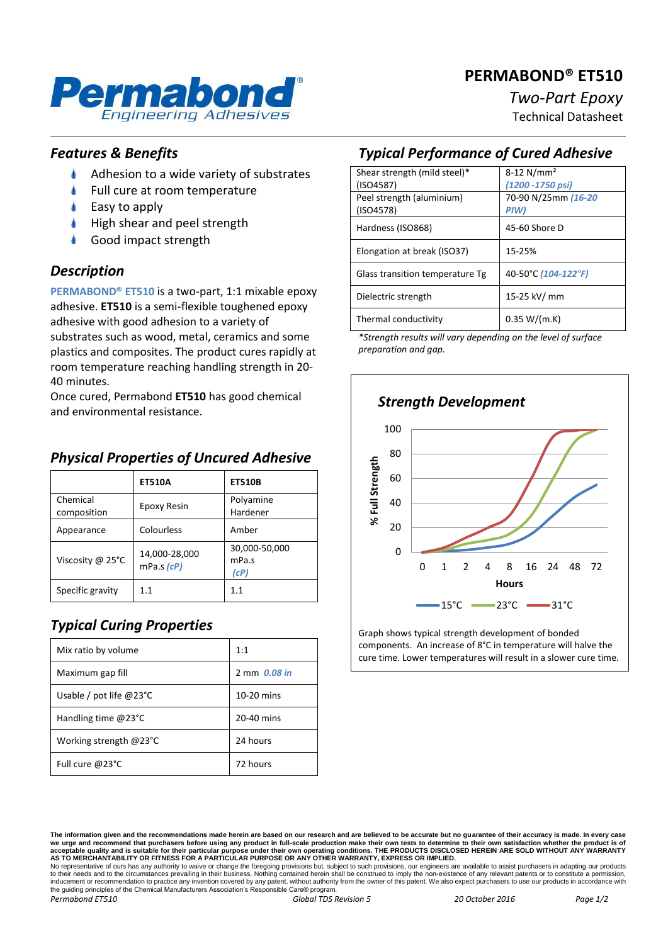## **PERMABOND® ET510**



# *Two-Part Epoxy*

Technical Datasheet

#### *Features & Benefits*

- ۸ Adhesion to a wide variety of substrates
- Full cure at room temperature
- Easy to apply
- High shear and peel strength
- Good impact strength

#### *Description*

**PERMABOND® ET510** is a two-part, 1:1 mixable epoxy adhesive. **ET510** is a semi-flexible toughened epoxy adhesive with good adhesion to a variety of substrates such as wood, metal, ceramics and some plastics and composites. The product cures rapidly at room temperature reaching handling strength in 20- 40 minutes.

Once cured, Permabond **ET510** has good chemical and environmental resistance.

#### **ET510A ET510B** Chemical Chemical Epoxy Resin Polyamine<br>
Composition Epoxy Resin Hardener Hardener Appearance | Colourless | Amber Viscosity @ 25°C  $\Big| 14,000-28,000$ mPa.s *(cP)* 30,000-50,000 mPa.s *(cP)* Specific gravity  $\begin{array}{|c|c|} 1.1 & 1.1 \end{array}$  1.1

#### *Physical Properties of Uncured Adhesive*

#### *Typical Curing Properties*

| Mix ratio by volume              | 1:1          |
|----------------------------------|--------------|
| Maximum gap fill                 | 2 mm 0.08 in |
| Usable / pot life $@23^{\circ}C$ | 10-20 mins   |
| Handling time $@23°C$            | 20-40 mins   |
| Working strength $@23^{\circ}C$  | 24 hours     |
| Full cure @23°C                  | 72 hours     |

#### *Typical Performance of Cured Adhesive*

| Shear strength (mild steel)*    | $8-12$ N/mm <sup>2</sup> |
|---------------------------------|--------------------------|
| (ISO4587)                       | (1200 - 1750 psi)        |
| Peel strength (aluminium)       | 70-90 N/25mm (16-20      |
| (ISO4578)                       | PIW)                     |
| Hardness (ISO868)               | 45-60 Shore D            |
|                                 |                          |
| Elongation at break (ISO37)     | 15-25%                   |
|                                 |                          |
| Glass transition temperature Tg | 40-50°C (104-122°F)      |
|                                 |                          |
| Dielectric strength             | 15-25 kV/ mm             |
| Thermal conductivity            | 0.35 W/(m.K)             |
|                                 |                          |

*\*Strength results will vary depending on the level of surface preparation and gap.*



Graph shows typical strength development of bonded components. An increase of 8°C in temperature will halve the cure time. Lower temperatures will result in a slower cure time.

to their needs and to the circumstances prevailing in their business. Nothing contained herein shall be construed to imply the non-existence of any relevant patents or to constitute a permission inducement or recommendation to practice any invention covered by any patent, without authority from the owner of this patent. We also expect purchasers to use our products in accordance with the guiding principles of the Chemical Manufacturers Association's Responsible Care® program. *Permabond ET510 Global TDS Revision 5 20 October 2016 Page 1/2*

**The information given and the recommendations made herein are based on our research and are believed to be accurate but no guarantee of their accuracy is made. In every case**  we urge and recommend that purchasers before using any product in full-scale production make their own tests to determine to their own satisfaction whether the product is of<br>acceptable quality and is suitable for their par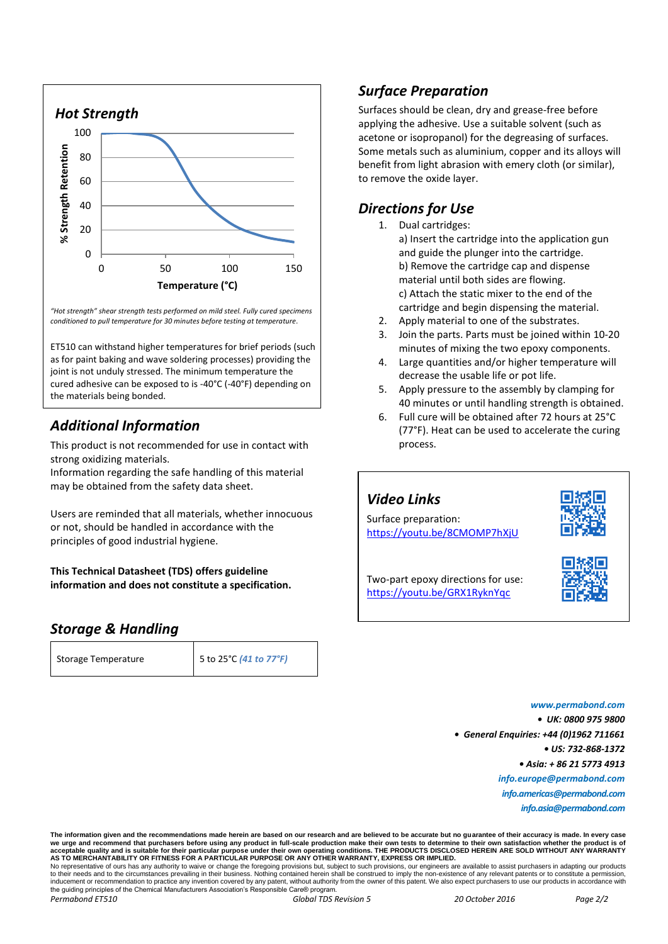

*"Hot strength" shear strength tests performed on mild steel. Fully cured specimens conditioned to pull temperature for 30 minutes before testing at temperature.*

ET510 can withstand higher temperatures for brief periods (such as for paint baking and wave soldering processes) providing the joint is not unduly stressed. The minimum temperature the cured adhesive can be exposed to is -40°C (-40°F) depending on the materials being bonded.

#### *Additional Information*

This product is not recommended for use in contact with strong oxidizing materials.

Information regarding the safe handling of this material may be obtained from the safety data sheet.

Users are reminded that all materials, whether innocuous or not, should be handled in accordance with the principles of good industrial hygiene.

**This Technical Datasheet (TDS) offers guideline information and does not constitute a specification.**

#### *Storage & Handling*

| Storage Temperature | 5 to 25°C (41 to 77°F) |
|---------------------|------------------------|

#### *Surface Preparation*

Surfaces should be clean, dry and grease-free before applying the adhesive. Use a suitable solvent (such as acetone or isopropanol) for the degreasing of surfaces. Some metals such as aluminium, copper and its alloys will benefit from light abrasion with emery cloth (or similar), to remove the oxide layer.

#### *Directions for Use*

- 1. Dual cartridges: a) Insert the cartridge into the application gun and guide the plunger into the cartridge. b) Remove the cartridge cap and dispense material until both sides are flowing. c) Attach the static mixer to the end of the cartridge and begin dispensing the material.
- 2. Apply material to one of the substrates.
- 3. Join the parts. Parts must be joined within 10-20 minutes of mixing the two epoxy components.
- 4. Large quantities and/or higher temperature will decrease the usable life or pot life.
- 5. Apply pressure to the assembly by clamping for 40 minutes or until handling strength is obtained.
- 6. Full cure will be obtained after 72 hours at 25°C (77°F). Heat can be used to accelerate the curing process.

### *Video Links*

Surface preparation: <https://youtu.be/8CMOMP7hXjU>



Two-part epoxy directions for use: <https://youtu.be/GRX1RyknYqc>

*www.permabond.com • UK: 0800 975 9800 • General Enquiries: +44 (0)1962 711661 • US: 732-868-1372 • Asia: + 86 21 5773 4913 info.europe@permabond.com info.americas@permabond.com info.asia@permabond.com*

**The information given and the recommendations made herein are based on our research and are believed to be accurate but no guarantee of their accuracy is made. In every case**  we urge and recommend that purchasers before using any product in full-scale production make their own tests to determine to their own satisfaction whether the product is of<br>acceptable quality and is suitable for their par No representative of ours has any authority to waive or change the foregoing provisions but, subject to such provisions, our engineers are available to assist purchasers in adapting our products to their needs and to the circumstances prevailing in their business. Nothing contained herein shall be construed to imply the non-existence of any relevant patents or to constitute a permission inducement or recommendation to practice any invention covered by any patent, without authority from the owner of this patent. We also expect purchasers to use our products in accordance with the guiding principles of the Chemical Manufacturers Association's Responsible Care® program *Permabond ET510 Global TDS Revision 5 20 October 2016 Page 2/2*